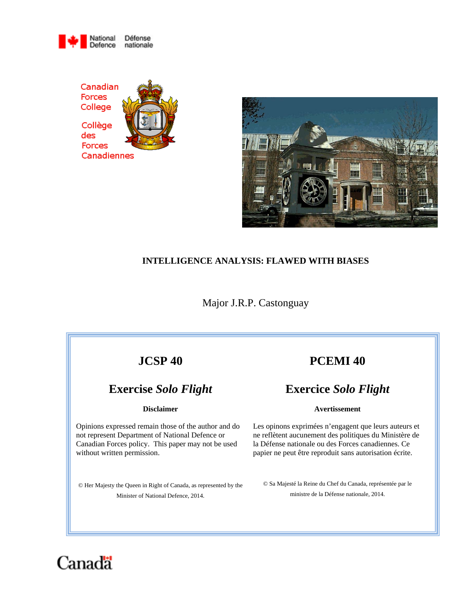





# **INTELLIGENCE ANALYSIS: FLAWED WITH BIASES**

Major J.R.P. Castonguay

# **JCSP 40**

# **Exercise** *Solo Flight*

### **Disclaimer**

Opinions expressed remain those of the author and do not represent Department of National Defence or Canadian Forces policy. This paper may not be used without written permission.

© Her Majesty the Queen in Right of Canada, as represented by the Minister of National Defence, 2014.

# **PCEMI 40**

# **Exercice** *Solo Flight*

### **Avertissement**

Les opinons exprimées n'engagent que leurs auteurs et ne reflètent aucunement des politiques du Ministère de la Défense nationale ou des Forces canadiennes. Ce papier ne peut être reproduit sans autorisation écrite.

© Sa Majesté la Reine du Chef du Canada, représentée par le ministre de la Défense nationale, 2014.

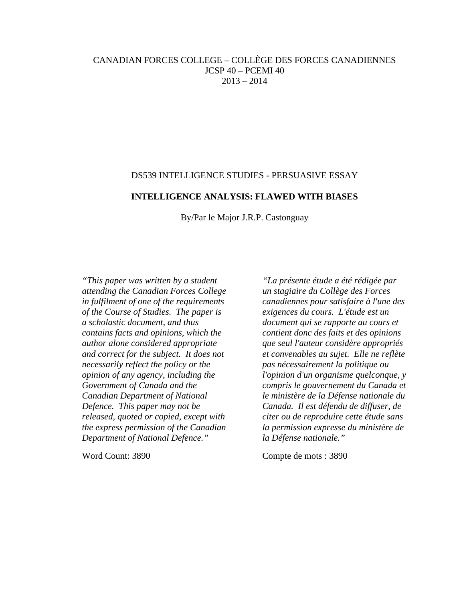# CANADIAN FORCES COLLEGE – COLLÈGE DES FORCES CANADIENNES JCSP 40 – PCEMI 40 2013 – 2014

# DS539 INTELLIGENCE STUDIES - PERSUASIVE ESSAY

# **INTELLIGENCE ANALYSIS: FLAWED WITH BIASES**

By/Par le Major J.R.P. Castonguay

*"This paper was written by a student attending the Canadian Forces College in fulfilment of one of the requirements of the Course of Studies. The paper is a scholastic document, and thus contains facts and opinions, which the author alone considered appropriate and correct for the subject. It does not necessarily reflect the policy or the opinion of any agency, including the Government of Canada and the Canadian Department of National Defence. This paper may not be released, quoted or copied, except with the express permission of the Canadian Department of National Defence."*

*"La présente étude a été rédigée par un stagiaire du Collège des Forces canadiennes pour satisfaire à l'une des exigences du cours. L'étude est un document qui se rapporte au cours et contient donc des faits et des opinions que seul l'auteur considère appropriés et convenables au sujet. Elle ne reflète pas nécessairement la politique ou l'opinion d'un organisme quelconque, y compris le gouvernement du Canada et le ministère de la Défense nationale du Canada. Il est défendu de diffuser, de citer ou de reproduire cette étude sans la permission expresse du ministère de la Défense nationale."*

Word Count: 3890 Compte de mots : 3890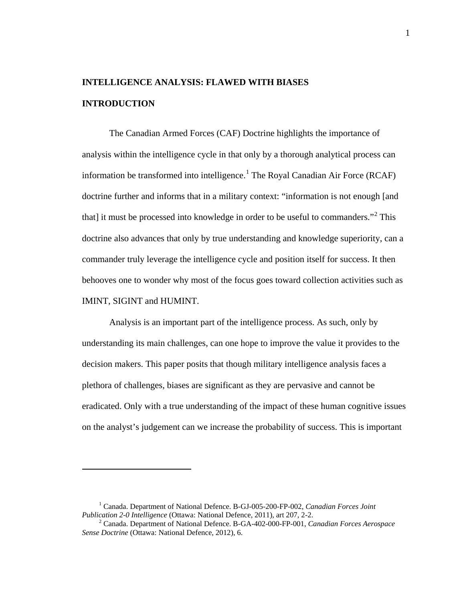# **INTELLIGENCE ANALYSIS: FLAWED WITH BIASES INTRODUCTION**

The Canadian Armed Forces (CAF) Doctrine highlights the importance of analysis within the intelligence cycle in that only by a thorough analytical process can information be transformed into intelligence.<sup>1</sup> The Royal Canadian Air Force (RCAF) doctrine further and informs that in a military context: "information is not enough [and that] it must be processed into knowledge in order to be useful to commanders.<sup> $2$ </sup> This doctrine also advances that only by true understanding and knowledge superiority, can a commander truly leverage the intelligence cycle and position itself for success. It then behooves one to wonder why most of the focus goes toward collection activities such as IMINT, SIGINT and HUMINT.

Analysis is an important part of the intelligence process. As such, only by understanding its main challenges, can one hope to improve the value it provides to the decision makers. This paper posits that though military intelligence analysis faces a plethora of challenges, biases are significant as they are pervasive and cannot be eradicated. Only with a true understanding of the impact of these human cognitive issues on the analyst's judgement can we increase the probability of success. This is important

<sup>&</sup>lt;sup>1</sup> Canada. Department of National Defence. B-GJ-005-200-FP-002, *Canadian Forces Joint Publication 2-0 Intelligence* (Ottawa: National Defence, 2011), art 207, 2-2.

<sup>&</sup>lt;sup>2</sup> Canada. Department of National Defence. B-GA-402-000-FP-001, *Canadian Forces Aerospace Sense Doctrine* (Ottawa: National Defence, 2012), 6.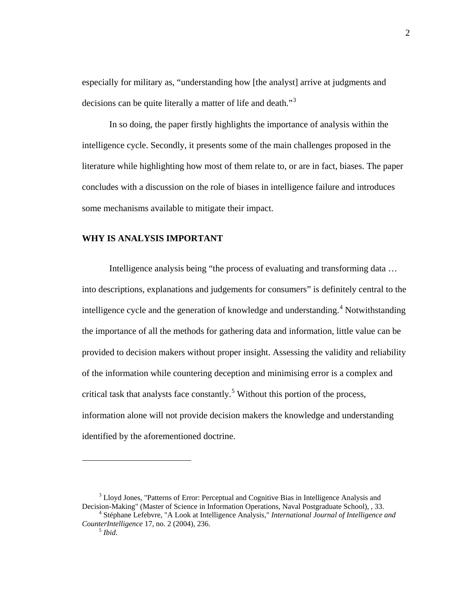especially for military as, "understanding how [the analyst] arrive at judgments and decisions can be quite literally a matter of life and death."<sup>3</sup>

In so doing, the paper firstly highlights the importance of analysis within the intelligence cycle. Secondly, it presents some of the main challenges proposed in the literature while highlighting how most of them relate to, or are in fact, biases. The paper concludes with a discussion on the role of biases in intelligence failure and introduces some mechanisms available to mitigate their impact.

# **WHY IS ANALYSIS IMPORTANT**

Intelligence analysis being "the process of evaluating and transforming data … into descriptions, explanations and judgements for consumers" is definitely central to the intelligence cycle and the generation of knowledge and understanding.<sup>4</sup> Notwithstanding the importance of all the methods for gathering data and information, little value can be provided to decision makers without proper insight. Assessing the validity and reliability of the information while countering deception and minimising error is a complex and critical task that analysts face constantly.<sup>5</sup> Without this portion of the process, information alone will not provide decision makers the knowledge and understanding identified by the aforementioned doctrine.

 $3$  Lloyd Jones, "Patterns of Error: Perceptual and Cognitive Bias in Intelligence Analysis and Decision-Making" (Master of Science in Information Operations, Naval Postgraduate School),  $33$ .

<sup>&</sup>lt;sup>4</sup> Stéphane Lefebvre, "A Look at Intelligence Analysis," *International Journal of Intelligence and CounterIntelligence* 17, no. 2 (2004), 236.<br><sup>5</sup> *Ibid.*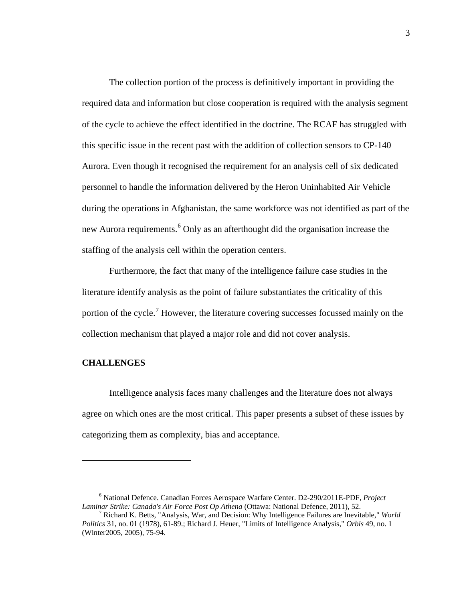The collection portion of the process is definitively important in providing the required data and information but close cooperation is required with the analysis segment of the cycle to achieve the effect identified in the doctrine. The RCAF has struggled with this specific issue in the recent past with the addition of collection sensors to CP-140 Aurora. Even though it recognised the requirement for an analysis cell of six dedicated personnel to handle the information delivered by the Heron Uninhabited Air Vehicle during the operations in Afghanistan, the same workforce was not identified as part of the new Aurora requirements.<sup>6</sup> Only as an afterthought did the organisation increase the staffing of the analysis cell within the operation centers.

Furthermore, the fact that many of the intelligence failure case studies in the literature identify analysis as the point of failure substantiates the criticality of this portion of the cycle.<sup>7</sup> However, the literature covering successes focussed mainly on the collection mechanism that played a major role and did not cover analysis.

## **CHALLENGES**

 $\overline{a}$ 

Intelligence analysis faces many challenges and the literature does not always agree on which ones are the most critical. This paper presents a subset of these issues by categorizing them as complexity, bias and acceptance.

<sup>6</sup> National Defence. Canadian Forces Aerospace Warfare Center. D2-290/2011E-PDF, *Project* 

<sup>&</sup>lt;sup>7</sup> Richard K. Betts, "Analysis, War, and Decision: Why Intelligence Failures are Inevitable," *World Politics* 31, no. 01 (1978), 61-89.; Richard J. Heuer, "Limits of Intelligence Analysis," *Orbis* 49, no. 1 (Winter2005, 2005), 75-94.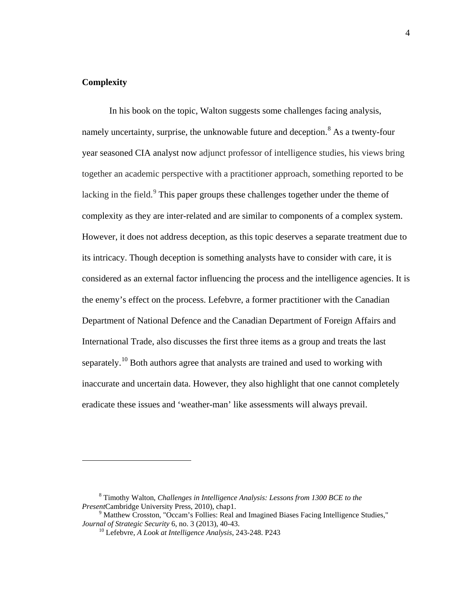## **Complexity**

 $\overline{a}$ 

In his book on the topic, Walton suggests some challenges facing analysis, namely uncertainty, surprise, the unknowable future and deception.<sup>8</sup> As a twenty-four year seasoned CIA analyst now adjunct professor of intelligence studies, his views bring together an academic perspective with a practitioner approach, something reported to be lacking in the field. $9$  This paper groups these challenges together under the theme of complexity as they are inter-related and are similar to components of a complex system. However, it does not address deception, as this topic deserves a separate treatment due to its intricacy. Though deception is something analysts have to consider with care, it is considered as an external factor influencing the process and the intelligence agencies. It is the enemy's effect on the process. Lefebvre, a former practitioner with the Canadian Department of National Defence and the Canadian Department of Foreign Affairs and International Trade, also discusses the first three items as a group and treats the last separately.<sup>10</sup> Both authors agree that analysts are trained and used to working with inaccurate and uncertain data. However, they also highlight that one cannot completely eradicate these issues and 'weather-man' like assessments will always prevail.

<sup>8</sup> Timothy Walton, *Challenges in Intelligence Analysis: Lessons from 1300 BCE to the* 

<sup>&</sup>lt;sup>9</sup> Matthew Crosston, "Occam's Follies: Real and Imagined Biases Facing Intelligence Studies,"<br>*Journal of Strategic Security* 6, no. 3 (2013), 40-43.

<sup>&</sup>lt;sup>10</sup> Lefebvre, *A Look at Intelligence Analysis*, 243-248. P243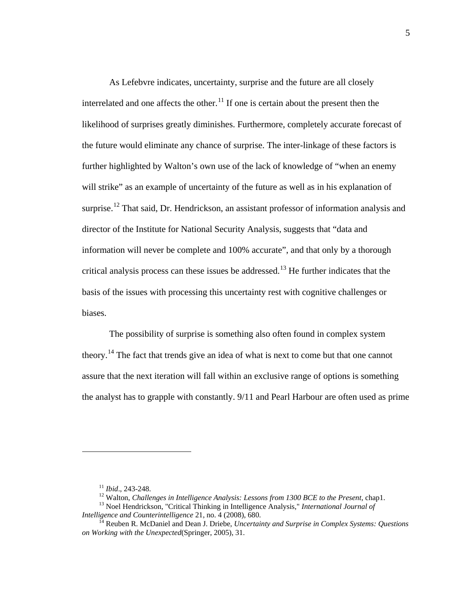As Lefebvre indicates, uncertainty, surprise and the future are all closely interrelated and one affects the other.<sup>11</sup> If one is certain about the present then the likelihood of surprises greatly diminishes. Furthermore, completely accurate forecast of the future would eliminate any chance of surprise. The inter-linkage of these factors is further highlighted by Walton's own use of the lack of knowledge of "when an enemy will strike" as an example of uncertainty of the future as well as in his explanation of surprise.<sup>12</sup> That said, Dr. Hendrickson, an assistant professor of information analysis and director of the Institute for National Security Analysis, suggests that "data and information will never be complete and 100% accurate", and that only by a thorough critical analysis process can these issues be addressed.<sup>13</sup> He further indicates that the basis of the issues with processing this uncertainty rest with cognitive challenges or biases.

The possibility of surprise is something also often found in complex system theory.<sup>14</sup> The fact that trends give an idea of what is next to come but that one cannot assure that the next iteration will fall within an exclusive range of options is something the analyst has to grapple with constantly. 9/11 and Pearl Harbour are often used as prime

<sup>&</sup>lt;sup>11</sup> *Ibid.*, 243-248.<br><sup>12</sup> Walton, *Challenges in Intelligence Analysis: Lessons from 1300 BCE to the Present*, chap1.<br><sup>13</sup> Noel Hendrickson, "Critical Thinking in Intelligence Analysis," *International Journal of*<br>*Inte* 

*Reuben R. McDaniel and Dean J. Driebe, Uncertainty and Surprise in Complex Systems: Questions on Working with the Unexpected*(Springer, 2005), 31.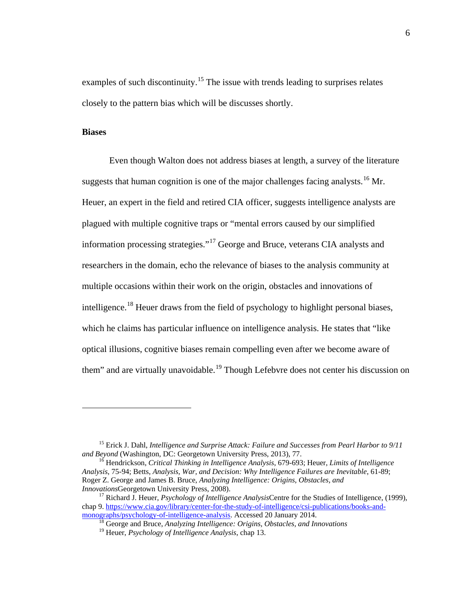examples of such discontinuity.<sup>15</sup> The issue with trends leading to surprises relates closely to the pattern bias which will be discusses shortly.

## **Biases**

 $\overline{a}$ 

Even though Walton does not address biases at length, a survey of the literature suggests that human cognition is one of the major challenges facing analysts.<sup>16</sup> Mr. Heuer, an expert in the field and retired CIA officer, suggests intelligence analysts are plagued with multiple cognitive traps or "mental errors caused by our simplified information processing strategies."17 George and Bruce, veterans CIA analysts and researchers in the domain, echo the relevance of biases to the analysis community at multiple occasions within their work on the origin, obstacles and innovations of intelligence.<sup>18</sup> Heuer draws from the field of psychology to highlight personal biases, which he claims has particular influence on intelligence analysis. He states that "like optical illusions, cognitive biases remain compelling even after we become aware of them" and are virtually unavoidable.<sup>19</sup> Though Lefebvre does not center his discussion on

<sup>&</sup>lt;sup>15</sup> Erick J. Dahl, *Intelligence and Surprise Attack: Failure and Successes from Pearl Harbor to 9/11 and Beyond* (Washington, DC: Georgetown University Press, 2013), 77.

<sup>&</sup>lt;sup>16</sup> Hendrickson, *Critical Thinking in Intelligence Analysis*, 679-693; Heuer, *Limits of Intelligence Analysis*, 75-94; Betts, *Analysis, War, and Decision: Why Intelligence Failures are Inevitable*, 61-89; Roger Z. George and James B. Bruce, *Analyzing Intelligence: Origins, Obstacles, and* 

<sup>&</sup>lt;sup>17</sup> Richard J. Heuer, *Psychology of Intelligence Analysis*Centre for the Studies of Intelligence, (1999), chap 9. https://www.cia.gov/library/center-for-the-study-of-intelligence/csi-publications/books-and-<br>monographs/psychology-of-intelligence-analysis. Accessed 20 January 2014.

<sup>&</sup>lt;sup>18</sup> George and Bruce, *Analyzing Intelligence: Origins, Obstacles, and Innovations* 

<sup>19</sup> Heuer, *Psychology of Intelligence Analysis*, chap 13.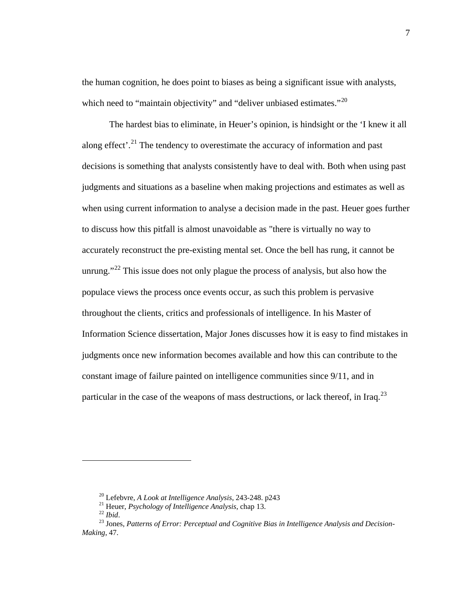the human cognition, he does point to biases as being a significant issue with analysts, which need to "maintain objectivity" and "deliver unbiased estimates."<sup>20</sup>

The hardest bias to eliminate, in Heuer's opinion, is hindsight or the 'I knew it all along effect'.<sup>21</sup> The tendency to overestimate the accuracy of information and past decisions is something that analysts consistently have to deal with. Both when using past judgments and situations as a baseline when making projections and estimates as well as when using current information to analyse a decision made in the past. Heuer goes further to discuss how this pitfall is almost unavoidable as "there is virtually no way to accurately reconstruct the pre-existing mental set. Once the bell has rung, it cannot be unrung."<sup>22</sup> This issue does not only plague the process of analysis, but also how the populace views the process once events occur, as such this problem is pervasive throughout the clients, critics and professionals of intelligence. In his Master of Information Science dissertation, Major Jones discusses how it is easy to find mistakes in judgments once new information becomes available and how this can contribute to the constant image of failure painted on intelligence communities since 9/11, and in particular in the case of the weapons of mass destructions, or lack thereof, in Iraq.<sup>23</sup>

<sup>&</sup>lt;sup>20</sup> Lefebvre, *A Look at Intelligence Analysis*, 243-248. p243<br><sup>21</sup> Heuer, *Psychology of Intelligence Analysis*, chap 13.<br><sup>22</sup> *Ibid.*<br><sup>23</sup> Jones. *Patterns of Error: Perceptual and Cognitive Bias in Intelligence Analys Making*, 47.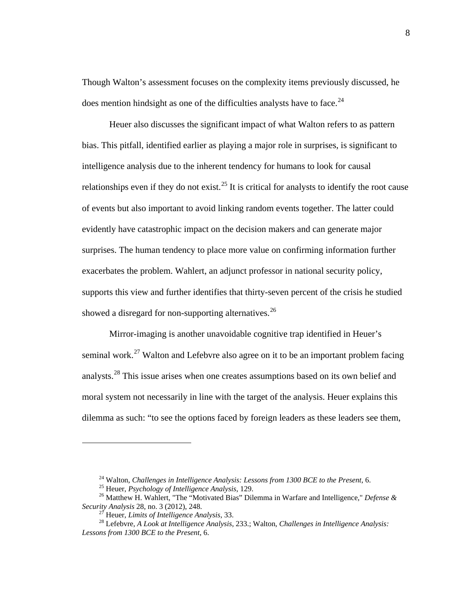Though Walton's assessment focuses on the complexity items previously discussed, he does mention hindsight as one of the difficulties analysts have to face.<sup>24</sup>

Heuer also discusses the significant impact of what Walton refers to as pattern bias. This pitfall, identified earlier as playing a major role in surprises, is significant to intelligence analysis due to the inherent tendency for humans to look for causal relationships even if they do not exist.<sup>25</sup> It is critical for analysts to identify the root cause of events but also important to avoid linking random events together. The latter could evidently have catastrophic impact on the decision makers and can generate major surprises. The human tendency to place more value on confirming information further exacerbates the problem. Wahlert, an adjunct professor in national security policy, supports this view and further identifies that thirty-seven percent of the crisis he studied showed a disregard for non-supporting alternatives.<sup>26</sup>

Mirror-imaging is another unavoidable cognitive trap identified in Heuer's seminal work.<sup>27</sup> Walton and Lefebvre also agree on it to be an important problem facing analysts.<sup>28</sup> This issue arises when one creates assumptions based on its own belief and moral system not necessarily in line with the target of the analysis. Heuer explains this dilemma as such: "to see the options faced by foreign leaders as these leaders see them,

<sup>&</sup>lt;sup>24</sup> Walton, *Challenges in Intelligence Analysis: Lessons from 1300 BCE to the Present*, 6.<br><sup>25</sup> Heuer, *Psychology of Intelligence Analysis*, 129.<br><sup>26</sup> Matthew H. Wahlert, "The "Motivated Bias" Dilemma in Warfare and In

*Security Analysis* 28, no. 3 (2012), 248. <sup>27</sup> Heuer, *Limits of Intelligence Analysis*, 33. <sup>28</sup> Lefebvre, *A Look at Intelligence Analysis*, 233.; Walton, *Challenges in Intelligence Analysis: Lessons from 1300 BCE to the Present*, 6.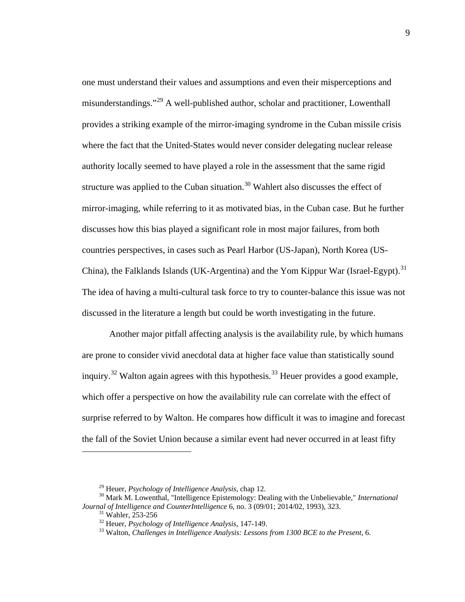one must understand their values and assumptions and even their misperceptions and misunderstandings."<sup>29</sup> A well-published author, scholar and practitioner, Lowenthall provides a striking example of the mirror-imaging syndrome in the Cuban missile crisis where the fact that the United-States would never consider delegating nuclear release authority locally seemed to have played a role in the assessment that the same rigid structure was applied to the Cuban situation.<sup>30</sup> Wahlert also discusses the effect of mirror-imaging, while referring to it as motivated bias, in the Cuban case. But he further discusses how this bias played a significant role in most major failures, from both countries perspectives, in cases such as Pearl Harbor (US-Japan), North Korea (US-China), the Falklands Islands (UK-Argentina) and the Yom Kippur War (Israel-Egypt).<sup>31</sup> The idea of having a multi-cultural task force to try to counter-balance this issue was not discussed in the literature a length but could be worth investigating in the future.

Another major pitfall affecting analysis is the availability rule, by which humans are prone to consider vivid anecdotal data at higher face value than statistically sound inquiry.<sup>32</sup> Walton again agrees with this hypothesis.<sup>33</sup> Heuer provides a good example, which offer a perspective on how the availability rule can correlate with the effect of surprise referred to by Walton. He compares how difficult it was to imagine and forecast the fall of the Soviet Union because a similar event had never occurred in at least fifty

<sup>&</sup>lt;sup>29</sup> Heuer, *Psychology of Intelligence Analysis*, chap 12.<br><sup>30</sup> Mark M. Lowenthal, "Intelligence Epistemology: Dealing with the Unbelievable," *International Journal of Intelligence and CounterIntelligence* 6, no. 3 (09/0

<sup>&</sup>lt;sup>31</sup> Wahler, 253-256<br><sup>32</sup> Heuer, *Psychology of Intelligence Analysis*, 147-149.<br><sup>33</sup> Walton, *Challenges in Intelligence Analysis: Lessons from 1300 BCE to the Present*, 6.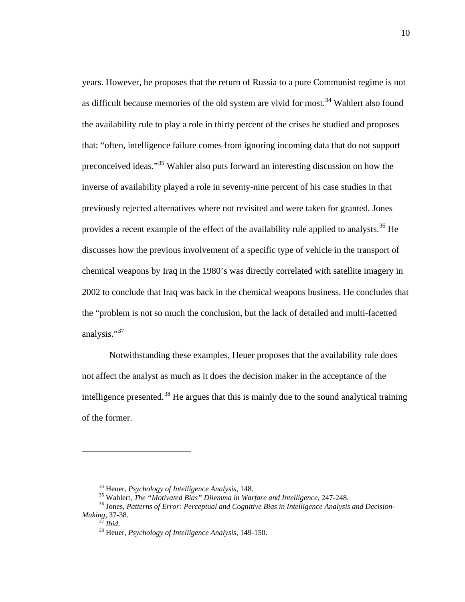years. However, he proposes that the return of Russia to a pure Communist regime is not as difficult because memories of the old system are vivid for most.<sup>34</sup> Wahlert also found the availability rule to play a role in thirty percent of the crises he studied and proposes that: "often, intelligence failure comes from ignoring incoming data that do not support preconceived ideas."<sup>35</sup> Wahler also puts forward an interesting discussion on how the inverse of availability played a role in seventy-nine percent of his case studies in that previously rejected alternatives where not revisited and were taken for granted. Jones provides a recent example of the effect of the availability rule applied to analysts.<sup>36</sup> He discusses how the previous involvement of a specific type of vehicle in the transport of chemical weapons by Iraq in the 1980's was directly correlated with satellite imagery in 2002 to conclude that Iraq was back in the chemical weapons business. He concludes that the "problem is not so much the conclusion, but the lack of detailed and multi-facetted analysis."<sup>37</sup>

Notwithstanding these examples, Heuer proposes that the availability rule does not affect the analyst as much as it does the decision maker in the acceptance of the intelligence presented.<sup>38</sup> He argues that this is mainly due to the sound analytical training of the former.

<sup>&</sup>lt;sup>34</sup> Heuer, *Psychology of Intelligence Analysis*, 148.<br><sup>35</sup> Wahlert, *The "Motivated Bias" Dilemma in Warfare and Intelligence*, 247-248.<br><sup>36</sup> Jones, *Patterns of Error: Perceptual and Cognitive Bias in Intelligence Anal* 

*Making*, 37-38. <sup>37</sup> *Ibid*. 38 Heuer, *Psychology of Intelligence Analysis*, 149-150.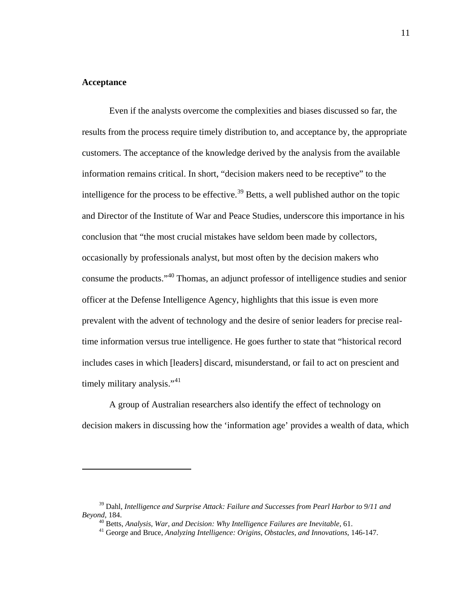#### **Acceptance**

 $\overline{a}$ 

 Even if the analysts overcome the complexities and biases discussed so far, the results from the process require timely distribution to, and acceptance by, the appropriate customers. The acceptance of the knowledge derived by the analysis from the available information remains critical. In short, "decision makers need to be receptive" to the intelligence for the process to be effective.<sup>39</sup> Betts, a well published author on the topic and Director of the Institute of War and Peace Studies, underscore this importance in his conclusion that "the most crucial mistakes have seldom been made by collectors, occasionally by professionals analyst, but most often by the decision makers who consume the products."<sup>40</sup> Thomas, an adjunct professor of intelligence studies and senior officer at the Defense Intelligence Agency, highlights that this issue is even more prevalent with the advent of technology and the desire of senior leaders for precise realtime information versus true intelligence. He goes further to state that "historical record includes cases in which [leaders] discard, misunderstand, or fail to act on prescient and timely military analysis."<sup>41</sup>

A group of Australian researchers also identify the effect of technology on decision makers in discussing how the 'information age' provides a wealth of data, which

<sup>39</sup> Dahl, *Intelligence and Surprise Attack: Failure and Successes from Pearl Harbor to 9/11 and Beyond*, 184.<br><sup>40</sup> Betts, *Analysis, War, and Decision: Why Intelligence Failures are Inevitable*, 61.<br><sup>41</sup> George and Bruce, *Analyzing Intelligence: Origins, Obstacles, and Innovations*, 146-147.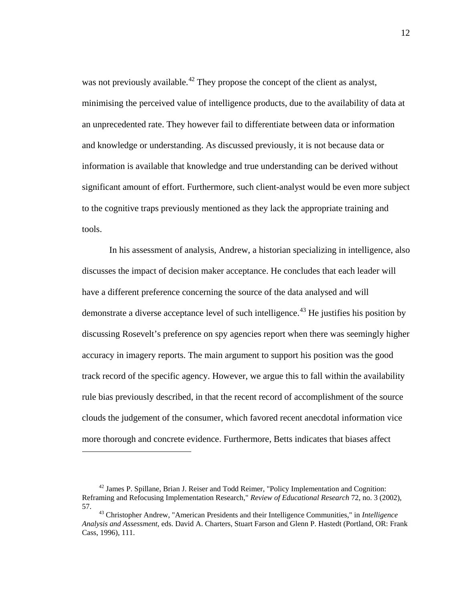was not previously available.<sup>42</sup> They propose the concept of the client as analyst, minimising the perceived value of intelligence products, due to the availability of data at an unprecedented rate. They however fail to differentiate between data or information and knowledge or understanding. As discussed previously, it is not because data or information is available that knowledge and true understanding can be derived without significant amount of effort. Furthermore, such client-analyst would be even more subject to the cognitive traps previously mentioned as they lack the appropriate training and tools.

In his assessment of analysis, Andrew, a historian specializing in intelligence, also discusses the impact of decision maker acceptance. He concludes that each leader will have a different preference concerning the source of the data analysed and will demonstrate a diverse acceptance level of such intelligence.<sup>43</sup> He justifies his position by discussing Rosevelt's preference on spy agencies report when there was seemingly higher accuracy in imagery reports. The main argument to support his position was the good track record of the specific agency. However, we argue this to fall within the availability rule bias previously described, in that the recent record of accomplishment of the source clouds the judgement of the consumer, which favored recent anecdotal information vice more thorough and concrete evidence. Furthermore, Betts indicates that biases affect

<sup>42</sup> James P. Spillane, Brian J. Reiser and Todd Reimer, "Policy Implementation and Cognition: Reframing and Refocusing Implementation Research," *Review of Educational Research* 72, no. 3 (2002), 57. <sup>43</sup> Christopher Andrew, "American Presidents and their Intelligence Communities," in *Intelligence* 

*Analysis and Assessment*, eds. David A. Charters, Stuart Farson and Glenn P. Hastedt (Portland, OR: Frank Cass, 1996), 111.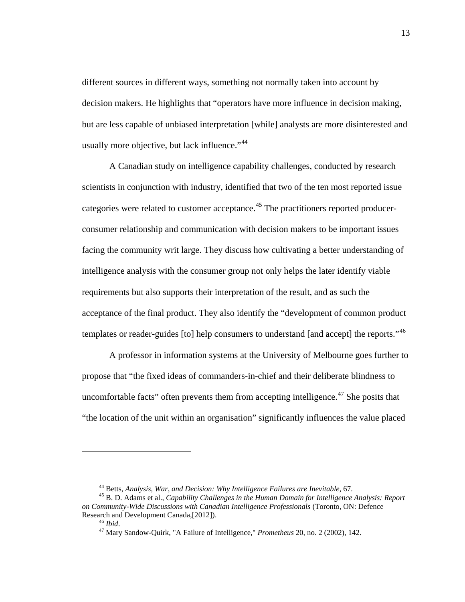different sources in different ways, something not normally taken into account by decision makers. He highlights that "operators have more influence in decision making, but are less capable of unbiased interpretation [while] analysts are more disinterested and usually more objective, but lack influence."<sup>44</sup>

A Canadian study on intelligence capability challenges, conducted by research scientists in conjunction with industry, identified that two of the ten most reported issue categories were related to customer acceptance.<sup>45</sup> The practitioners reported producerconsumer relationship and communication with decision makers to be important issues facing the community writ large. They discuss how cultivating a better understanding of intelligence analysis with the consumer group not only helps the later identify viable requirements but also supports their interpretation of the result, and as such the acceptance of the final product. They also identify the "development of common product templates or reader-guides [to] help consumers to understand [and accept] the reports."<sup>46</sup>

A professor in information systems at the University of Melbourne goes further to propose that "the fixed ideas of commanders-in-chief and their deliberate blindness to uncomfortable facts" often prevents them from accepting intelligence.<sup> $47$ </sup> She posits that "the location of the unit within an organisation" significantly influences the value placed

<sup>&</sup>lt;sup>44</sup> Betts, *Analysis, War, and Decision: Why Intelligence Failures are Inevitable, 67.* 45 B. D. Adams et al., *Capability Challenges in the Human Domain for Intelligence Analysis: Report on Community-Wide Discussions with Canadian Intelligence Professionals* (Toronto, ON: Defence Research and Development Canada,[2012]). <sup>46</sup> *Ibid*. 47 Mary Sandow-Quirk, "A Failure of Intelligence," *Prometheus* 20, no. 2 (2002), 142.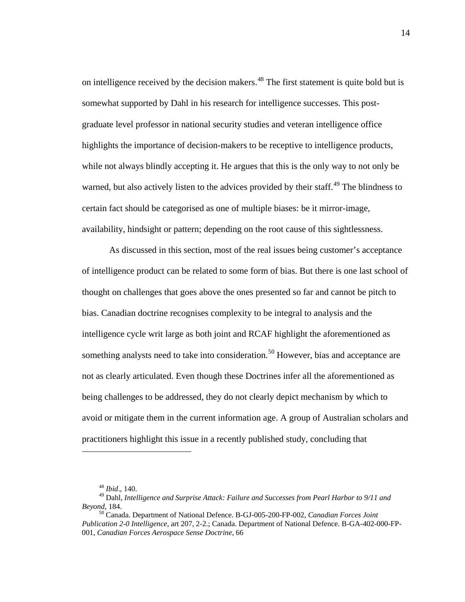on intelligence received by the decision makers.<sup>48</sup> The first statement is quite bold but is somewhat supported by Dahl in his research for intelligence successes. This postgraduate level professor in national security studies and veteran intelligence office highlights the importance of decision-makers to be receptive to intelligence products, while not always blindly accepting it. He argues that this is the only way to not only be warned, but also actively listen to the advices provided by their staff.<sup>49</sup> The blindness to certain fact should be categorised as one of multiple biases: be it mirror-image, availability, hindsight or pattern; depending on the root cause of this sightlessness.

As discussed in this section, most of the real issues being customer's acceptance of intelligence product can be related to some form of bias. But there is one last school of thought on challenges that goes above the ones presented so far and cannot be pitch to bias. Canadian doctrine recognises complexity to be integral to analysis and the intelligence cycle writ large as both joint and RCAF highlight the aforementioned as something analysts need to take into consideration.<sup>50</sup> However, bias and acceptance are not as clearly articulated. Even though these Doctrines infer all the aforementioned as being challenges to be addressed, they do not clearly depict mechanism by which to avoid or mitigate them in the current information age. A group of Australian scholars and practitioners highlight this issue in a recently published study, concluding that

<sup>48</sup> *Ibid*., 140.

<sup>49</sup> Dahl, *Intelligence and Surprise Attack: Failure and Successes from Pearl Harbor to 9/11 and Beyond*, 184.<br><sup>50</sup> Canada. Department of National Defence. B-GJ-005-200-FP-002, *Canadian Forces Joint* 

*Publication 2-0 Intelligence*, art 207, 2-2.; Canada. Department of National Defence. B-GA-402-000-FP-001, *Canadian Forces Aerospace Sense Doctrine*, 66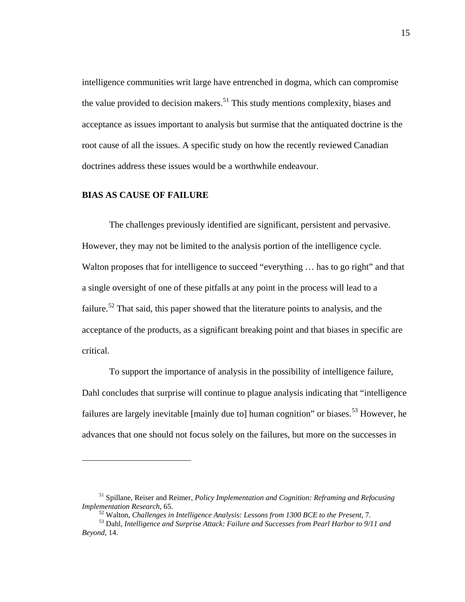intelligence communities writ large have entrenched in dogma, which can compromise the value provided to decision makers.<sup>51</sup> This study mentions complexity, biases and acceptance as issues important to analysis but surmise that the antiquated doctrine is the root cause of all the issues. A specific study on how the recently reviewed Canadian doctrines address these issues would be a worthwhile endeavour.

## **BIAS AS CAUSE OF FAILURE**

 $\overline{a}$ 

The challenges previously identified are significant, persistent and pervasive. However, they may not be limited to the analysis portion of the intelligence cycle. Walton proposes that for intelligence to succeed "everything ... has to go right" and that a single oversight of one of these pitfalls at any point in the process will lead to a failure.<sup>52</sup> That said, this paper showed that the literature points to analysis, and the acceptance of the products, as a significant breaking point and that biases in specific are critical.

To support the importance of analysis in the possibility of intelligence failure, Dahl concludes that surprise will continue to plague analysis indicating that "intelligence failures are largely inevitable [mainly due to] human cognition" or biases.<sup>53</sup> However, he advances that one should not focus solely on the failures, but more on the successes in

<sup>51</sup> Spillane, Reiser and Reimer, *Policy Implementation and Cognition: Reframing and Refocusing* 

<sup>&</sup>lt;sup>52</sup> Walton, Challenges in Intelligence Analysis: Lessons from 1300 BCE to the Present, 7.<br><sup>53</sup> Dahl. Intelligence and Surprise Attack: Failure and Successes from Pearl Harbor to 9/11 and *Beyond*, 14.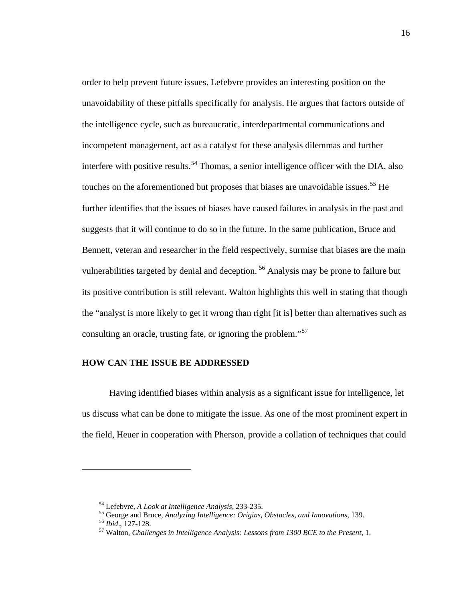order to help prevent future issues. Lefebvre provides an interesting position on the unavoidability of these pitfalls specifically for analysis. He argues that factors outside of the intelligence cycle, such as bureaucratic, interdepartmental communications and incompetent management, act as a catalyst for these analysis dilemmas and further interfere with positive results.<sup>54</sup> Thomas, a senior intelligence officer with the DIA, also touches on the aforementioned but proposes that biases are unavoidable issues.<sup>55</sup> He further identifies that the issues of biases have caused failures in analysis in the past and suggests that it will continue to do so in the future. In the same publication, Bruce and Bennett, veteran and researcher in the field respectively, surmise that biases are the main vulnerabilities targeted by denial and deception.<sup>56</sup> Analysis may be prone to failure but its positive contribution is still relevant. Walton highlights this well in stating that though the "analyst is more likely to get it wrong than right [it is] better than alternatives such as consulting an oracle, trusting fate, or ignoring the problem."<sup>57</sup>

## **HOW CAN THE ISSUE BE ADDRESSED**

 Having identified biases within analysis as a significant issue for intelligence, let us discuss what can be done to mitigate the issue. As one of the most prominent expert in the field, Heuer in cooperation with Pherson, provide a collation of techniques that could

<sup>&</sup>lt;sup>54</sup> Lefebvre, *A Look at Intelligence Analysis*, 233-235.<br><sup>55</sup> George and Bruce, *Analyzing Intelligence: Origins, Obstacles, and Innovations*, 139.<br><sup>56</sup> *Ibid.*, 127-128.<br><sup>57</sup> Walton, *Challenges in Intelligence Analysi*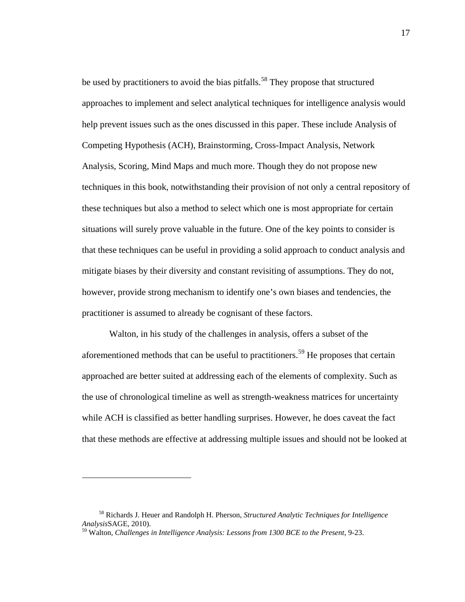be used by practitioners to avoid the bias pitfalls.<sup>58</sup> They propose that structured approaches to implement and select analytical techniques for intelligence analysis would help prevent issues such as the ones discussed in this paper. These include Analysis of Competing Hypothesis (ACH), Brainstorming, Cross-Impact Analysis, Network Analysis, Scoring, Mind Maps and much more. Though they do not propose new techniques in this book, notwithstanding their provision of not only a central repository of these techniques but also a method to select which one is most appropriate for certain situations will surely prove valuable in the future. One of the key points to consider is that these techniques can be useful in providing a solid approach to conduct analysis and mitigate biases by their diversity and constant revisiting of assumptions. They do not, however, provide strong mechanism to identify one's own biases and tendencies, the practitioner is assumed to already be cognisant of these factors.

 Walton, in his study of the challenges in analysis, offers a subset of the aforementioned methods that can be useful to practitioners.<sup>59</sup> He proposes that certain approached are better suited at addressing each of the elements of complexity. Such as the use of chronological timeline as well as strength-weakness matrices for uncertainty while ACH is classified as better handling surprises. However, he does caveat the fact that these methods are effective at addressing multiple issues and should not be looked at

<sup>58</sup> Richards J. Heuer and Randolph H. Pherson, *Structured Analytic Techniques for Intelligence Analysis*SAGE, 2010).

<sup>59</sup> Walton, *Challenges in Intelligence Analysis: Lessons from 1300 BCE to the Present*, 9-23.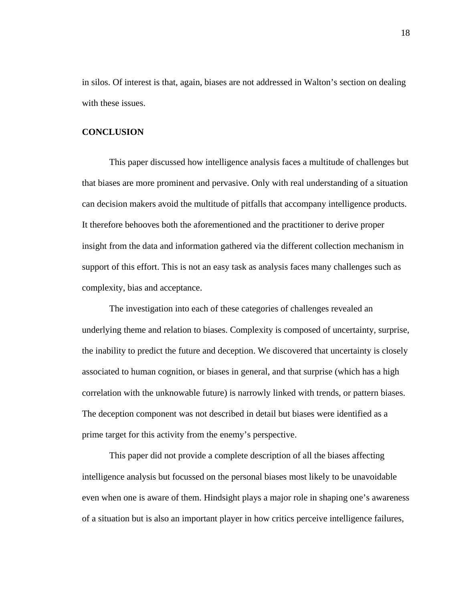in silos. Of interest is that, again, biases are not addressed in Walton's section on dealing with these issues.

## **CONCLUSION**

 This paper discussed how intelligence analysis faces a multitude of challenges but that biases are more prominent and pervasive. Only with real understanding of a situation can decision makers avoid the multitude of pitfalls that accompany intelligence products. It therefore behooves both the aforementioned and the practitioner to derive proper insight from the data and information gathered via the different collection mechanism in support of this effort. This is not an easy task as analysis faces many challenges such as complexity, bias and acceptance.

The investigation into each of these categories of challenges revealed an underlying theme and relation to biases. Complexity is composed of uncertainty, surprise, the inability to predict the future and deception. We discovered that uncertainty is closely associated to human cognition, or biases in general, and that surprise (which has a high correlation with the unknowable future) is narrowly linked with trends, or pattern biases. The deception component was not described in detail but biases were identified as a prime target for this activity from the enemy's perspective.

This paper did not provide a complete description of all the biases affecting intelligence analysis but focussed on the personal biases most likely to be unavoidable even when one is aware of them. Hindsight plays a major role in shaping one's awareness of a situation but is also an important player in how critics perceive intelligence failures,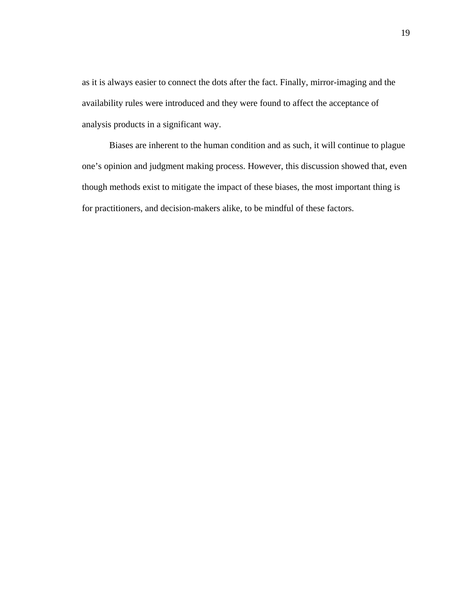as it is always easier to connect the dots after the fact. Finally, mirror-imaging and the availability rules were introduced and they were found to affect the acceptance of analysis products in a significant way.

Biases are inherent to the human condition and as such, it will continue to plague one's opinion and judgment making process. However, this discussion showed that, even though methods exist to mitigate the impact of these biases, the most important thing is for practitioners, and decision-makers alike, to be mindful of these factors.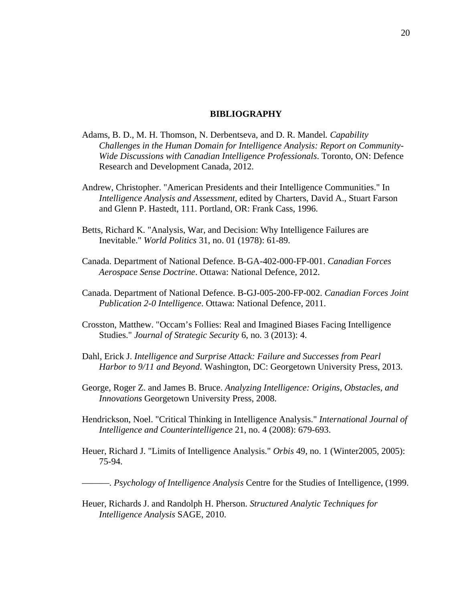### **BIBLIOGRAPHY**

- Adams, B. D., M. H. Thomson, N. Derbentseva, and D. R. Mandel*. Capability Challenges in the Human Domain for Intelligence Analysis: Report on Community-Wide Discussions with Canadian Intelligence Professionals*. Toronto, ON: Defence Research and Development Canada, 2012.
- Andrew, Christopher. "American Presidents and their Intelligence Communities." In *Intelligence Analysis and Assessment*, edited by Charters, David A., Stuart Farson and Glenn P. Hastedt, 111. Portland, OR: Frank Cass, 1996.
- Betts, Richard K. "Analysis, War, and Decision: Why Intelligence Failures are Inevitable." *World Politics* 31, no. 01 (1978): 61-89.
- Canada. Department of National Defence. B-GA-402-000-FP-001. *Canadian Forces Aerospace Sense Doctrine*. Ottawa: National Defence, 2012.
- Canada. Department of National Defence. B-GJ-005-200-FP-002. *Canadian Forces Joint Publication 2-0 Intelligence*. Ottawa: National Defence, 2011.
- Crosston, Matthew. "Occam's Follies: Real and Imagined Biases Facing Intelligence Studies." *Journal of Strategic Security* 6, no. 3 (2013): 4.
- Dahl, Erick J. *Intelligence and Surprise Attack: Failure and Successes from Pearl Harbor to 9/11 and Beyond*. Washington, DC: Georgetown University Press, 2013.
- George, Roger Z. and James B. Bruce. *Analyzing Intelligence: Origins, Obstacles, and Innovations* Georgetown University Press, 2008.
- Hendrickson, Noel. "Critical Thinking in Intelligence Analysis." *International Journal of Intelligence and Counterintelligence* 21, no. 4 (2008): 679-693.
- Heuer, Richard J. "Limits of Intelligence Analysis." *Orbis* 49, no. 1 (Winter2005, 2005): 75-94.

———. *Psychology of Intelligence Analysis* Centre for the Studies of Intelligence, (1999.

Heuer, Richards J. and Randolph H. Pherson. *Structured Analytic Techniques for Intelligence Analysis* SAGE, 2010.